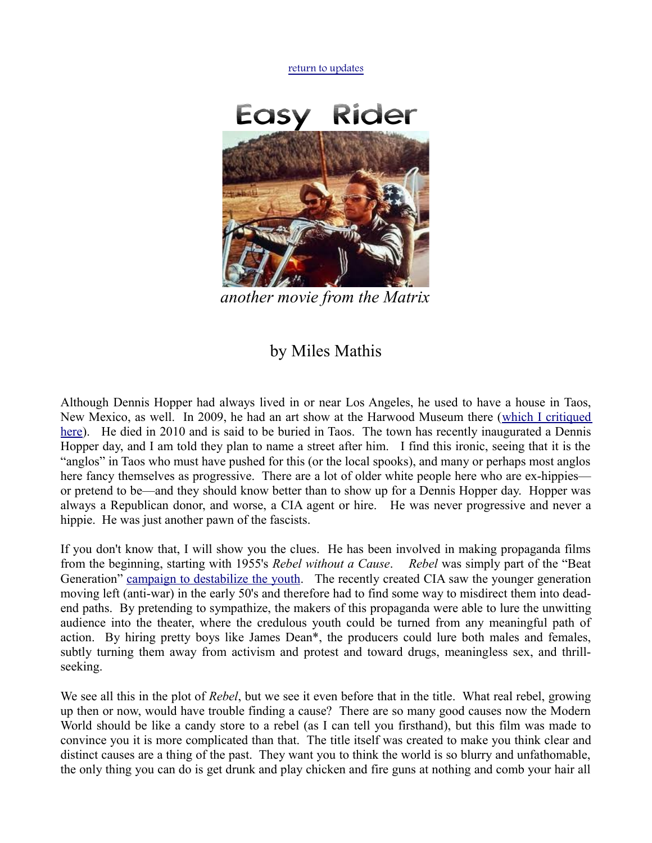[return to updates](http://mileswmathis.com/updates.html)



*another movie from the Matrix*

## by Miles Mathis

Although Dennis Hopper had always lived in or near Los Angeles, he used to have a house in Taos, New Mexico, as well. In 2009, he had an art show at the Harwood Museum there [\(which I critiqued](http://mileswmathis.com/hopper.html) [here\)](http://mileswmathis.com/hopper.html). He died in 2010 and is said to be buried in Taos. The town has recently inaugurated a Dennis Hopper day, and I am told they plan to name a street after him. I find this ironic, seeing that it is the "anglos" in Taos who must have pushed for this (or the local spooks), and many or perhaps most anglos here fancy themselves as progressive. There are a lot of older white people here who are ex-hippies or pretend to be—and they should know better than to show up for a Dennis Hopper day. Hopper was always a Republican donor, and worse, a CIA agent or hire. He was never progressive and never a hippie. He was just another pawn of the fascists.

If you don't know that, I will show you the clues. He has been involved in making propaganda films from the beginning, starting with 1955's *Rebel without a Cause*. *Rebel* was simply part of the "Beat Generation" [campaign to destabilize the youth.](http://mileswmathis.com/beat.pdf) The recently created CIA saw the younger generation moving left (anti-war) in the early 50's and therefore had to find some way to misdirect them into deadend paths. By pretending to sympathize, the makers of this propaganda were able to lure the unwitting audience into the theater, where the credulous youth could be turned from any meaningful path of action. By hiring pretty boys like James Dean\*, the producers could lure both males and females, subtly turning them away from activism and protest and toward drugs, meaningless sex, and thrillseeking.

We see all this in the plot of *Rebel*, but we see it even before that in the title. What real rebel, growing up then or now, would have trouble finding a cause? There are so many good causes now the Modern World should be like a candy store to a rebel (as I can tell you firsthand), but this film was made to convince you it is more complicated than that. The title itself was created to make you think clear and distinct causes are a thing of the past. They want you to think the world is so blurry and unfathomable, the only thing you can do is get drunk and play chicken and fire guns at nothing and comb your hair all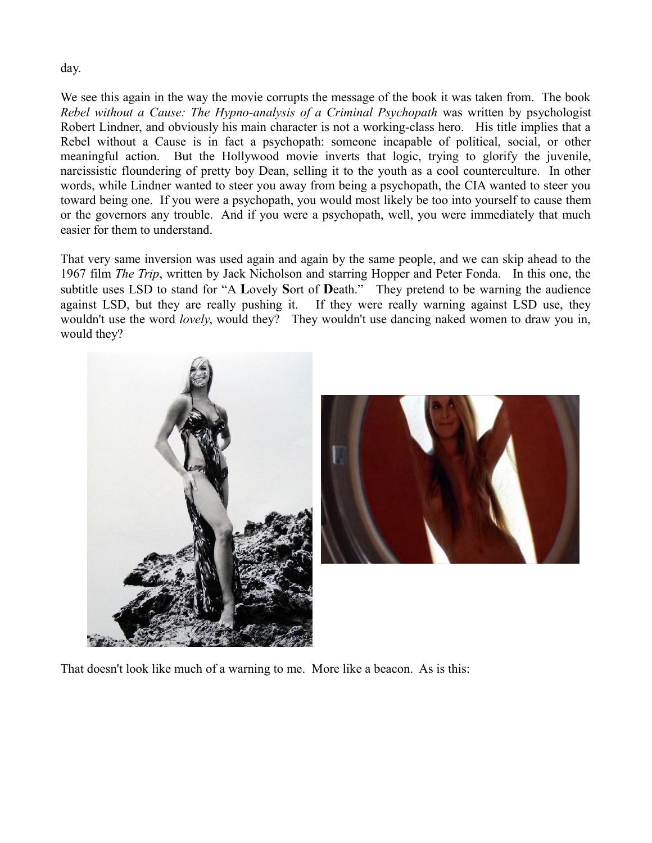day.

We see this again in the way the movie corrupts the message of the book it was taken from. The book *Rebel without a Cause: The Hypno-analysis of a Criminal Psychopath* was written by psychologist Robert Lindner, and obviously his main character is not a working-class hero. His title implies that a Rebel without a Cause is in fact a psychopath: someone incapable of political, social, or other meaningful action. But the Hollywood movie inverts that logic, trying to glorify the juvenile, narcissistic floundering of pretty boy Dean, selling it to the youth as a cool counterculture. In other words, while Lindner wanted to steer you away from being a psychopath, the CIA wanted to steer you toward being one. If you were a psychopath, you would most likely be too into yourself to cause them or the governors any trouble. And if you were a psychopath, well, you were immediately that much easier for them to understand.

That very same inversion was used again and again by the same people, and we can skip ahead to the 1967 film *The Trip*, written by Jack Nicholson and starring Hopper and Peter Fonda. In this one, the subtitle uses LSD to stand for "A **L**ovely **S**ort of **D**eath." They pretend to be warning the audience against LSD, but they are really pushing it. If they were really warning against LSD use, they wouldn't use the word *lovely*, would they? They wouldn't use dancing naked women to draw you in, would they?





That doesn't look like much of a warning to me. More like a beacon. As is this: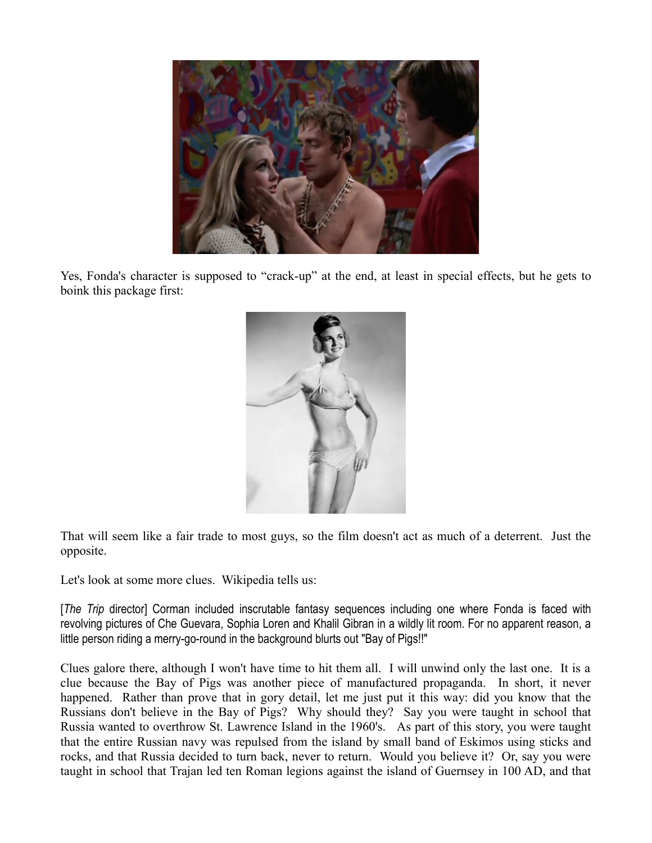

Yes, Fonda's character is supposed to "crack-up" at the end, at least in special effects, but he gets to boink this package first:



That will seem like a fair trade to most guys, so the film doesn't act as much of a deterrent. Just the opposite.

Let's look at some more clues. Wikipedia tells us:

[*The Trip* director] Corman included inscrutable fantasy sequences including one where Fonda is faced with revolving pictures of Che Guevara, Sophia Loren and Khalil Gibran in a wildly lit room. For no apparent reason, a little person riding a merry-go-round in the background blurts out "Bay of Pigs!!"

Clues galore there, although I won't have time to hit them all. I will unwind only the last one. It is a clue because the Bay of Pigs was another piece of manufactured propaganda. In short, it never happened. Rather than prove that in gory detail, let me just put it this way: did you know that the Russians don't believe in the Bay of Pigs? Why should they? Say you were taught in school that Russia wanted to overthrow St. Lawrence Island in the 1960's. As part of this story, you were taught that the entire Russian navy was repulsed from the island by small band of Eskimos using sticks and rocks, and that Russia decided to turn back, never to return. Would you believe it? Or, say you were taught in school that Trajan led ten Roman legions against the island of Guernsey in 100 AD, and that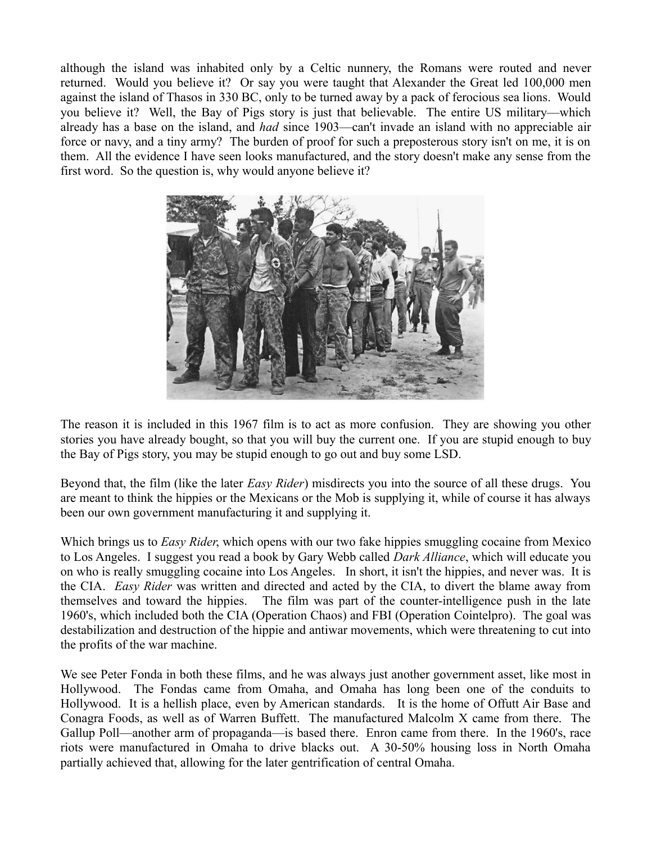although the island was inhabited only by a Celtic nunnery, the Romans were routed and never returned. Would you believe it? Or say you were taught that Alexander the Great led 100,000 men against the island of Thasos in 330 BC, only to be turned away by a pack of ferocious sea lions. Would you believe it? Well, the Bay of Pigs story is just that believable. The entire US military—which already has a base on the island, and *had* since 1903—can't invade an island with no appreciable air force or navy, and a tiny army? The burden of proof for such a preposterous story isn't on me, it is on them. All the evidence I have seen looks manufactured, and the story doesn't make any sense from the first word. So the question is, why would anyone believe it?



The reason it is included in this 1967 film is to act as more confusion. They are showing you other stories you have already bought, so that you will buy the current one. If you are stupid enough to buy the Bay of Pigs story, you may be stupid enough to go out and buy some LSD.

Beyond that, the film (like the later *Easy Rider*) misdirects you into the source of all these drugs. You are meant to think the hippies or the Mexicans or the Mob is supplying it, while of course it has always been our own government manufacturing it and supplying it.

Which brings us to *Easy Rider*, which opens with our two fake hippies smuggling cocaine from Mexico to Los Angeles. I suggest you read a book by Gary Webb called *Dark Alliance*, which will educate you on who is really smuggling cocaine into Los Angeles. In short, it isn't the hippies, and never was. It is the CIA. *Easy Rider* was written and directed and acted by the CIA, to divert the blame away from themselves and toward the hippies. The film was part of the counter-intelligence push in the late 1960's, which included both the CIA (Operation Chaos) and FBI (Operation Cointelpro). The goal was destabilization and destruction of the hippie and antiwar movements, which were threatening to cut into the profits of the war machine.

We see Peter Fonda in both these films, and he was always just another government asset, like most in Hollywood. The Fondas came from Omaha, and Omaha has long been one of the conduits to Hollywood. It is a hellish place, even by American standards. It is the home of Offutt Air Base and Conagra Foods, as well as of Warren Buffett. The manufactured Malcolm X came from there. The Gallup Poll—another arm of propaganda—is based there. Enron came from there. In the 1960's, race riots were manufactured in Omaha to drive blacks out. A 30-50% housing loss in North Omaha partially achieved that, allowing for the later gentrification of central Omaha.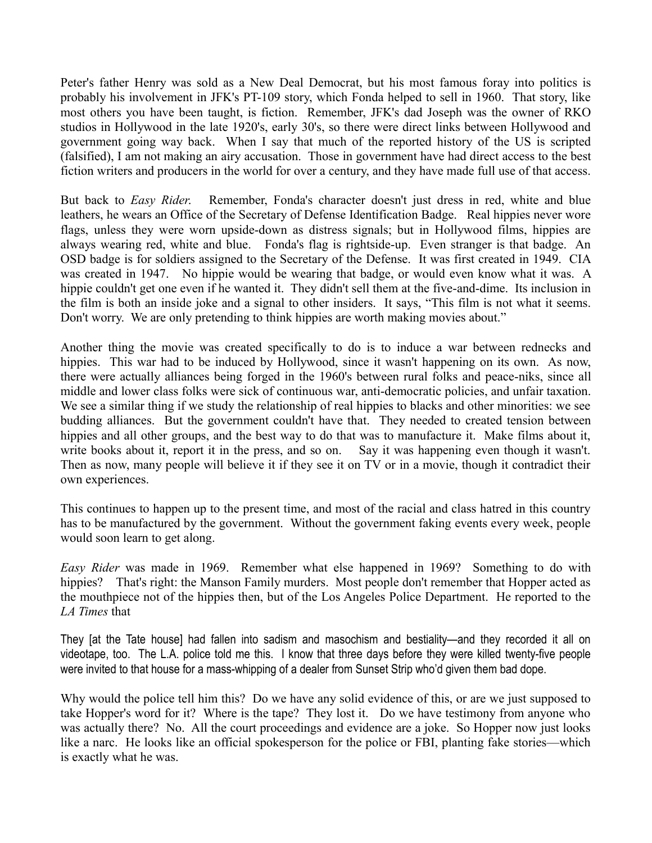Peter's father Henry was sold as a New Deal Democrat, but his most famous foray into politics is probably his involvement in JFK's PT-109 story, which Fonda helped to sell in 1960. That story, like most others you have been taught, is fiction. Remember, JFK's dad Joseph was the owner of RKO studios in Hollywood in the late 1920's, early 30's, so there were direct links between Hollywood and government going way back. When I say that much of the reported history of the US is scripted (falsified), I am not making an airy accusation. Those in government have had direct access to the best fiction writers and producers in the world for over a century, and they have made full use of that access.

But back to *Easy Rider*. Remember, Fonda's character doesn't just dress in red, white and blue leathers, he wears an Office of the Secretary of Defense Identification Badge. Real hippies never wore flags, unless they were worn upside-down as distress signals; but in Hollywood films, hippies are always wearing red, white and blue. Fonda's flag is rightside-up. Even stranger is that badge. An OSD badge is for soldiers assigned to the Secretary of the Defense. It was first created in 1949. CIA was created in 1947. No hippie would be wearing that badge, or would even know what it was. A hippie couldn't get one even if he wanted it. They didn't sell them at the five-and-dime. Its inclusion in the film is both an inside joke and a signal to other insiders. It says, "This film is not what it seems. Don't worry. We are only pretending to think hippies are worth making movies about."

Another thing the movie was created specifically to do is to induce a war between rednecks and hippies. This war had to be induced by Hollywood, since it wasn't happening on its own. As now, there were actually alliances being forged in the 1960's between rural folks and peace-niks, since all middle and lower class folks were sick of continuous war, anti-democratic policies, and unfair taxation. We see a similar thing if we study the relationship of real hippies to blacks and other minorities: we see budding alliances. But the government couldn't have that. They needed to created tension between hippies and all other groups, and the best way to do that was to manufacture it. Make films about it, write books about it, report it in the press, and so on. Say it was happening even though it wasn't. Then as now, many people will believe it if they see it on TV or in a movie, though it contradict their own experiences.

This continues to happen up to the present time, and most of the racial and class hatred in this country has to be manufactured by the government. Without the government faking events every week, people would soon learn to get along.

*Easy Rider* was made in 1969. Remember what else happened in 1969? Something to do with hippies? That's right: the Manson Family murders. Most people don't remember that Hopper acted as the mouthpiece not of the hippies then, but of the Los Angeles Police Department. He reported to the *LA Times* that

They [at the Tate house] had fallen into sadism and masochism and bestiality—and they recorded it all on videotape, too. The L.A. police told me this. I know that three days before they were killed twenty-five people were invited to that house for a mass-whipping of a dealer from Sunset Strip who'd given them bad dope.

Why would the police tell him this? Do we have any solid evidence of this, or are we just supposed to take Hopper's word for it? Where is the tape? They lost it. Do we have testimony from anyone who was actually there? No. All the court proceedings and evidence are a joke. So Hopper now just looks like a narc. He looks like an official spokesperson for the police or FBI, planting fake stories—which is exactly what he was.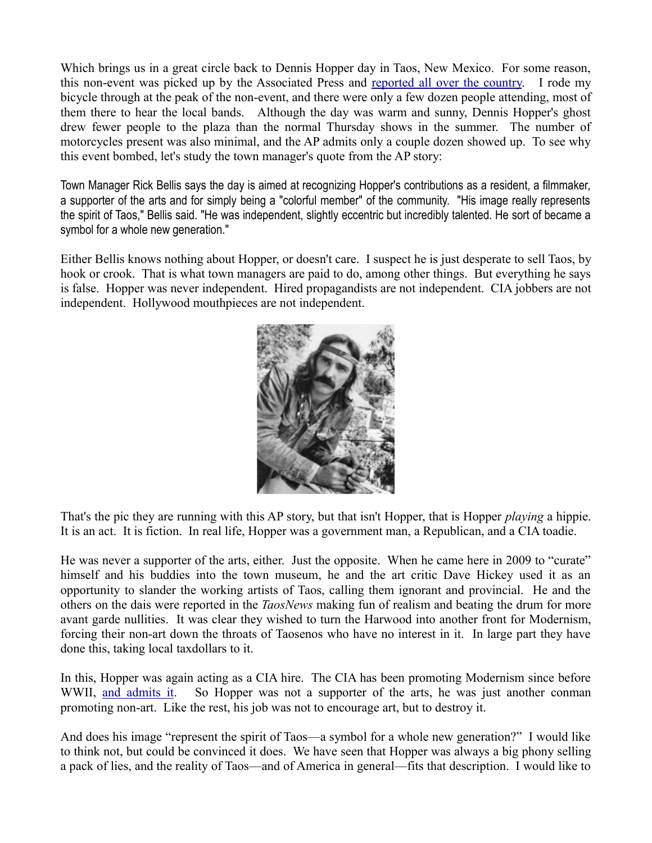Which brings us in a great circle back to Dennis Hopper day in Taos, New Mexico. For some reason, this non-event was picked up by the Associated Press and [reported all over the country.](http://www.philly.com/philly/entertainment/20140517_ap_bd16e6e3bae64e2b9ed7d0e75f8b7a07.html) I rode my bicycle through at the peak of the non-event, and there were only a few dozen people attending, most of them there to hear the local bands. Although the day was warm and sunny, Dennis Hopper's ghost drew fewer people to the plaza than the normal Thursday shows in the summer. The number of motorcycles present was also minimal, and the AP admits only a couple dozen showed up. To see why this event bombed, let's study the town manager's quote from the AP story:

Town Manager Rick Bellis says the day is aimed at recognizing Hopper's contributions as a resident, a filmmaker, a supporter of the arts and for simply being a "colorful member" of the community. "His image really represents the spirit of Taos," Bellis said. "He was independent, slightly eccentric but incredibly talented. He sort of became a symbol for a whole new generation."

Either Bellis knows nothing about Hopper, or doesn't care. I suspect he is just desperate to sell Taos, by hook or crook. That is what town managers are paid to do, among other things. But everything he says is false. Hopper was never independent. Hired propagandists are not independent. CIA jobbers are not independent. Hollywood mouthpieces are not independent.



That's the pic they are running with this AP story, but that isn't Hopper, that is Hopper *playing* a hippie. It is an act. It is fiction. In real life, Hopper was a government man, a Republican, and a CIA toadie.

He was never a supporter of the arts, either. Just the opposite. When he came here in 2009 to "curate" himself and his buddies into the town museum, he and the art critic Dave Hickey used it as an opportunity to slander the working artists of Taos, calling them ignorant and provincial. He and the others on the dais were reported in the *TaosNews* making fun of realism and beating the drum for more avant garde nullities. It was clear they wished to turn the Harwood into another front for Modernism, forcing their non-art down the throats of Taosenos who have no interest in it. In large part they have done this, taking local taxdollars to it.

In this, Hopper was again acting as a CIA hire. The CIA has been promoting Modernism since before WWII, [and admits it.](http://mileswmathis.com/stoner.pdf) So Hopper was not a supporter of the arts, he was just another conman promoting non-art. Like the rest, his job was not to encourage art, but to destroy it.

And does his image "represent the spirit of Taos—a symbol for a whole new generation?" I would like to think not, but could be convinced it does. We have seen that Hopper was always a big phony selling a pack of lies, and the reality of Taos—and of America in general—fits that description. I would like to